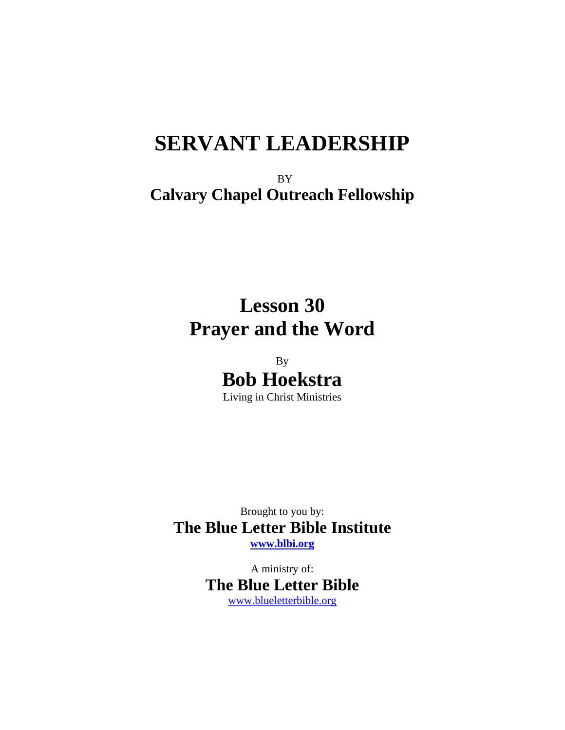# **SERVANT LEADERSHIP**

BY **Calvary Chapel Outreach Fellowship** 

# **Lesson 30 Prayer and the Word**

By **Bob Hoekstra**  Living in Christ Ministries

Brought to you by: **The Blue Letter Bible Institute [www.blbi.org](http://www.blbi.org/)**

> A ministry of: **The Blue Letter Bible**  [www.blueletterbible.org](http://www.blueletterbible.org/)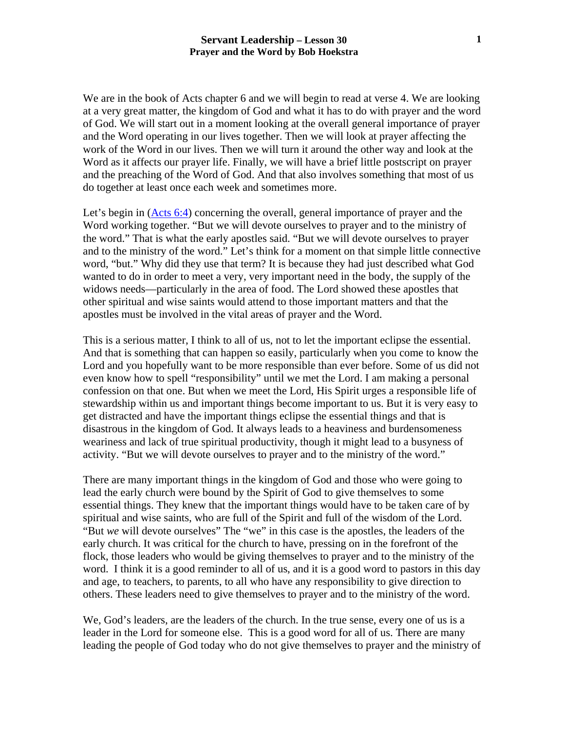We are in the book of Acts chapter 6 and we will begin to read at verse 4. We are looking at a very great matter, the kingdom of God and what it has to do with prayer and the word of God. We will start out in a moment looking at the overall general importance of prayer and the Word operating in our lives together. Then we will look at prayer affecting the work of the Word in our lives. Then we will turn it around the other way and look at the Word as it affects our prayer life. Finally, we will have a brief little postscript on prayer and the preaching of the Word of God. And that also involves something that most of us do together at least once each week and sometimes more.

Let's begin in ([Acts 6:4](http://www.blb.org/Bible.cfm?b=acts&c=6&t=KJV#3)) concerning the overall, general importance of prayer and the Word working together. "But we will devote ourselves to prayer and to the ministry of the word." That is what the early apostles said. "But we will devote ourselves to prayer and to the ministry of the word." Let's think for a moment on that simple little connective word, "but." Why did they use that term? It is because they had just described what God wanted to do in order to meet a very, very important need in the body, the supply of the widows needs—particularly in the area of food. The Lord showed these apostles that other spiritual and wise saints would attend to those important matters and that the apostles must be involved in the vital areas of prayer and the Word.

This is a serious matter, I think to all of us, not to let the important eclipse the essential. And that is something that can happen so easily, particularly when you come to know the Lord and you hopefully want to be more responsible than ever before. Some of us did not even know how to spell "responsibility" until we met the Lord. I am making a personal confession on that one. But when we meet the Lord, His Spirit urges a responsible life of stewardship within us and important things become important to us. But it is very easy to get distracted and have the important things eclipse the essential things and that is disastrous in the kingdom of God. It always leads to a heaviness and burdensomeness weariness and lack of true spiritual productivity, though it might lead to a busyness of activity. "But we will devote ourselves to prayer and to the ministry of the word."

There are many important things in the kingdom of God and those who were going to lead the early church were bound by the Spirit of God to give themselves to some essential things. They knew that the important things would have to be taken care of by spiritual and wise saints, who are full of the Spirit and full of the wisdom of the Lord. "But *we* will devote ourselves" The "we" in this case is the apostles, the leaders of the early church. It was critical for the church to have, pressing on in the forefront of the flock, those leaders who would be giving themselves to prayer and to the ministry of the word. I think it is a good reminder to all of us, and it is a good word to pastors in this day and age, to teachers, to parents, to all who have any responsibility to give direction to others. These leaders need to give themselves to prayer and to the ministry of the word.

We, God's leaders, are the leaders of the church. In the true sense, every one of us is a leader in the Lord for someone else. This is a good word for all of us. There are many leading the people of God today who do not give themselves to prayer and the ministry of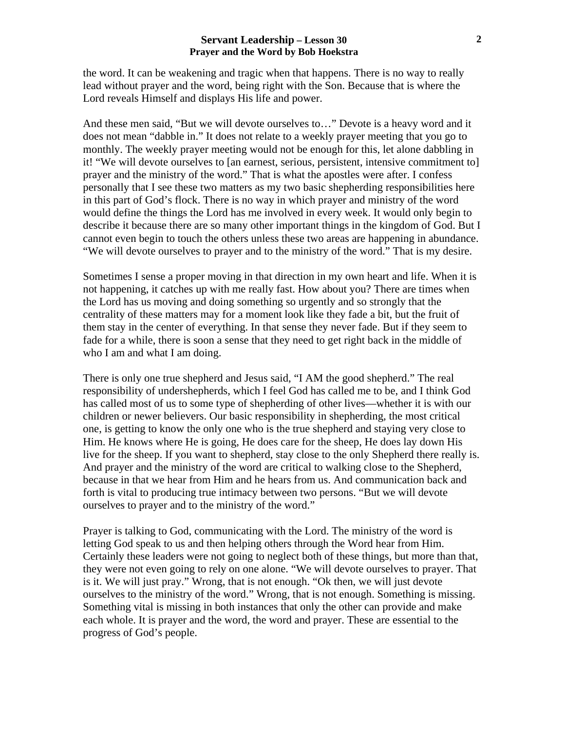the word. It can be weakening and tragic when that happens. There is no way to really lead without prayer and the word, being right with the Son. Because that is where the Lord reveals Himself and displays His life and power.

And these men said, "But we will devote ourselves to…" Devote is a heavy word and it does not mean "dabble in." It does not relate to a weekly prayer meeting that you go to monthly. The weekly prayer meeting would not be enough for this, let alone dabbling in it! "We will devote ourselves to [an earnest, serious, persistent, intensive commitment to] prayer and the ministry of the word." That is what the apostles were after. I confess personally that I see these two matters as my two basic shepherding responsibilities here in this part of God's flock. There is no way in which prayer and ministry of the word would define the things the Lord has me involved in every week. It would only begin to describe it because there are so many other important things in the kingdom of God. But I cannot even begin to touch the others unless these two areas are happening in abundance. "We will devote ourselves to prayer and to the ministry of the word." That is my desire.

Sometimes I sense a proper moving in that direction in my own heart and life. When it is not happening, it catches up with me really fast. How about you? There are times when the Lord has us moving and doing something so urgently and so strongly that the centrality of these matters may for a moment look like they fade a bit, but the fruit of them stay in the center of everything. In that sense they never fade. But if they seem to fade for a while, there is soon a sense that they need to get right back in the middle of who I am and what I am doing.

There is only one true shepherd and Jesus said, "I AM the good shepherd." The real responsibility of undershepherds, which I feel God has called me to be, and I think God has called most of us to some type of shepherding of other lives—whether it is with our children or newer believers. Our basic responsibility in shepherding, the most critical one, is getting to know the only one who is the true shepherd and staying very close to Him. He knows where He is going, He does care for the sheep, He does lay down His live for the sheep. If you want to shepherd, stay close to the only Shepherd there really is. And prayer and the ministry of the word are critical to walking close to the Shepherd, because in that we hear from Him and he hears from us. And communication back and forth is vital to producing true intimacy between two persons. "But we will devote ourselves to prayer and to the ministry of the word."

Prayer is talking to God, communicating with the Lord. The ministry of the word is letting God speak to us and then helping others through the Word hear from Him. Certainly these leaders were not going to neglect both of these things, but more than that, they were not even going to rely on one alone. "We will devote ourselves to prayer. That is it. We will just pray." Wrong, that is not enough. "Ok then, we will just devote ourselves to the ministry of the word." Wrong, that is not enough. Something is missing. Something vital is missing in both instances that only the other can provide and make each whole. It is prayer and the word, the word and prayer. These are essential to the progress of God's people.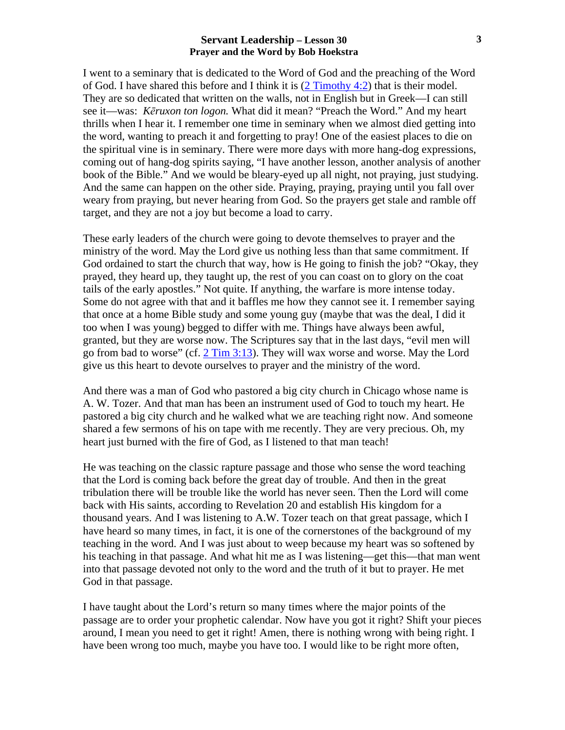I went to a seminary that is dedicated to the Word of God and the preaching of the Word of God. I have shared this before and I think it is  $(2 \text{ Timothy } 4:2)$  that is their model. They are so dedicated that written on the walls, not in English but in Greek—I can still see it—was: *Kēruxon ton logon.* What did it mean? "Preach the Word." And my heart thrills when I hear it. I remember one time in seminary when we almost died getting into the word, wanting to preach it and forgetting to pray! One of the easiest places to die on the spiritual vine is in seminary. There were more days with more hang-dog expressions, coming out of hang-dog spirits saying, "I have another lesson, another analysis of another book of the Bible." And we would be bleary-eyed up all night, not praying, just studying. And the same can happen on the other side. Praying, praying, praying until you fall over weary from praying, but never hearing from God. So the prayers get stale and ramble off target, and they are not a joy but become a load to carry.

These early leaders of the church were going to devote themselves to prayer and the ministry of the word. May the Lord give us nothing less than that same commitment. If God ordained to start the church that way, how is He going to finish the job? "Okay, they prayed, they heard up, they taught up, the rest of you can coast on to glory on the coat tails of the early apostles." Not quite. If anything, the warfare is more intense today. Some do not agree with that and it baffles me how they cannot see it. I remember saying that once at a home Bible study and some young guy (maybe that was the deal, I did it too when I was young) begged to differ with me. Things have always been awful, granted, but they are worse now. The Scriptures say that in the last days, "evil men will go from bad to worse" (cf. [2 Tim 3:13\)](http://www.blb.org/Bible.cfm?b=2ti&c=3&t=KJV#12). They will wax worse and worse. May the Lord give us this heart to devote ourselves to prayer and the ministry of the word.

And there was a man of God who pastored a big city church in Chicago whose name is A. W. Tozer. And that man has been an instrument used of God to touch my heart. He pastored a big city church and he walked what we are teaching right now. And someone shared a few sermons of his on tape with me recently. They are very precious. Oh, my heart just burned with the fire of God, as I listened to that man teach!

He was teaching on the classic rapture passage and those who sense the word teaching that the Lord is coming back before the great day of trouble. And then in the great tribulation there will be trouble like the world has never seen. Then the Lord will come back with His saints, according to Revelation 20 and establish His kingdom for a thousand years. And I was listening to A.W. Tozer teach on that great passage, which I have heard so many times, in fact, it is one of the cornerstones of the background of my teaching in the word. And I was just about to weep because my heart was so softened by his teaching in that passage. And what hit me as I was listening—get this—that man went into that passage devoted not only to the word and the truth of it but to prayer. He met God in that passage.

I have taught about the Lord's return so many times where the major points of the passage are to order your prophetic calendar. Now have you got it right? Shift your pieces around, I mean you need to get it right! Amen, there is nothing wrong with being right. I have been wrong too much, maybe you have too. I would like to be right more often,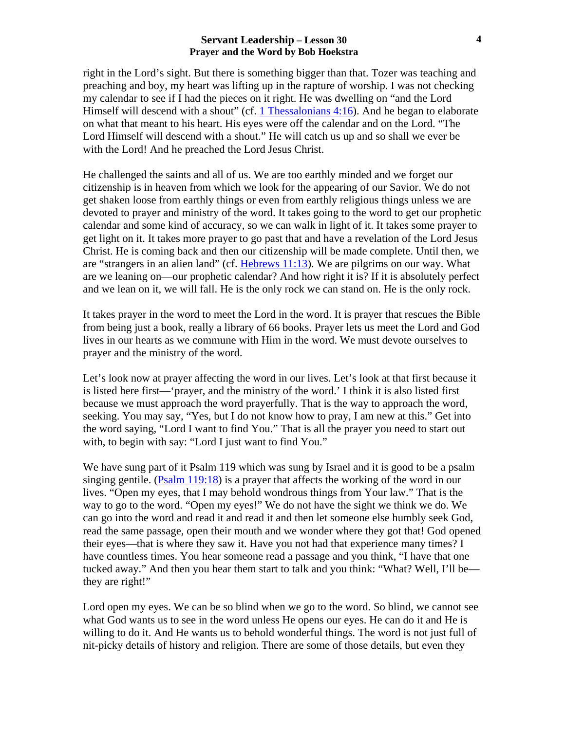right in the Lord's sight. But there is something bigger than that. Tozer was teaching and preaching and boy, my heart was lifting up in the rapture of worship. I was not checking my calendar to see if I had the pieces on it right. He was dwelling on "and the Lord Himself will descend with a shout" (cf. [1 Thessalonians 4:16\)](http://www.blb.org/Bible.cfm?b=1th&c=4&t=KJV#15). And he began to elaborate on what that meant to his heart. His eyes were off the calendar and on the Lord. "The Lord Himself will descend with a shout." He will catch us up and so shall we ever be with the Lord! And he preached the Lord Jesus Christ.

He challenged the saints and all of us. We are too earthly minded and we forget our citizenship is in heaven from which we look for the appearing of our Savior. We do not get shaken loose from earthly things or even from earthly religious things unless we are devoted to prayer and ministry of the word. It takes going to the word to get our prophetic calendar and some kind of accuracy, so we can walk in light of it. It takes some prayer to get light on it. It takes more prayer to go past that and have a revelation of the Lord Jesus Christ. He is coming back and then our citizenship will be made complete. Until then, we are "strangers in an alien land" (cf. [Hebrews 11:13](http://www.blb.org/Bible.cfm?b=heb&c=11&t=KJV#12)). We are pilgrims on our way. What are we leaning on—our prophetic calendar? And how right it is? If it is absolutely perfect and we lean on it, we will fall. He is the only rock we can stand on. He is the only rock.

It takes prayer in the word to meet the Lord in the word. It is prayer that rescues the Bible from being just a book, really a library of 66 books. Prayer lets us meet the Lord and God lives in our hearts as we commune with Him in the word. We must devote ourselves to prayer and the ministry of the word.

Let's look now at prayer affecting the word in our lives. Let's look at that first because it is listed here first—'prayer, and the ministry of the word.' I think it is also listed first because we must approach the word prayerfully. That is the way to approach the word, seeking. You may say, "Yes, but I do not know how to pray, I am new at this." Get into the word saying, "Lord I want to find You." That is all the prayer you need to start out with, to begin with say: "Lord I just want to find You."

We have sung part of it Psalm 119 which was sung by Israel and it is good to be a psalm singing gentile. ([Psalm 119:18\)](http://www.blb.org/Bible.cfm?b=psa&c=119&t=KJV#17) is a prayer that affects the working of the word in our lives. "Open my eyes, that I may behold wondrous things from Your law." That is the way to go to the word. "Open my eyes!" We do not have the sight we think we do. We can go into the word and read it and read it and then let someone else humbly seek God, read the same passage, open their mouth and we wonder where they got that! God opened their eyes—that is where they saw it. Have you not had that experience many times? I have countless times. You hear someone read a passage and you think, "I have that one tucked away." And then you hear them start to talk and you think: "What? Well, I'll be they are right!"

Lord open my eyes. We can be so blind when we go to the word. So blind, we cannot see what God wants us to see in the word unless He opens our eyes. He can do it and He is willing to do it. And He wants us to behold wonderful things. The word is not just full of nit-picky details of history and religion. There are some of those details, but even they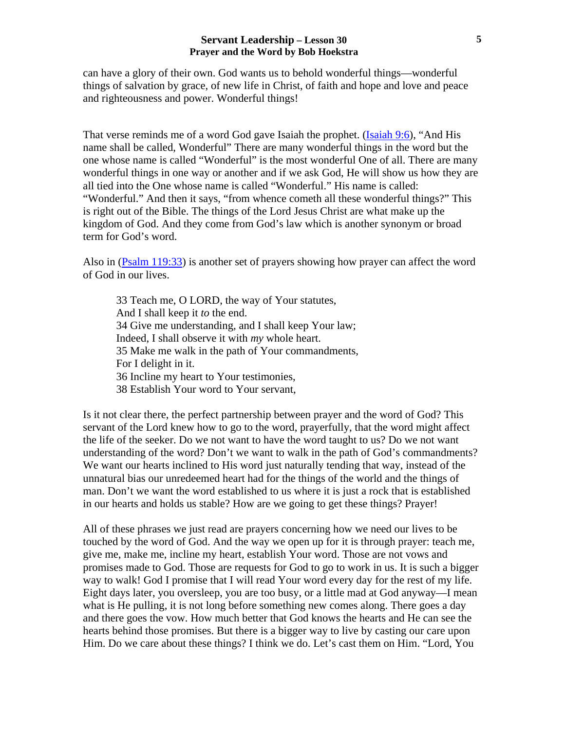can have a glory of their own. God wants us to behold wonderful things—wonderful things of salvation by grace, of new life in Christ, of faith and hope and love and peace and righteousness and power. Wonderful things!

That verse reminds me of a word God gave Isaiah the prophet. [\(Isaiah 9:6\)](http://www.blb.org/Bible.cfm?b=isa&c=9&t=KJV#5), "And His name shall be called, Wonderful" There are many wonderful things in the word but the one whose name is called "Wonderful" is the most wonderful One of all. There are many wonderful things in one way or another and if we ask God, He will show us how they are all tied into the One whose name is called "Wonderful." His name is called: "Wonderful." And then it says, "from whence cometh all these wonderful things?" This is right out of the Bible. The things of the Lord Jesus Christ are what make up the kingdom of God. And they come from God's law which is another synonym or broad term for God's word.

Also in [\(Psalm 119:33\)](http://www.blb.org/Bible.cfm?b=psa&c=119&t=KJV#32) is another set of prayers showing how prayer can affect the word of God in our lives.

33 Teach me, O LORD, the way of Your statutes, And I shall keep it *to* the end. 34 Give me understanding, and I shall keep Your law; Indeed, I shall observe it with *my* whole heart. 35 Make me walk in the path of Your commandments, For I delight in it. 36 Incline my heart to Your testimonies, 38 Establish Your word to Your servant,

Is it not clear there, the perfect partnership between prayer and the word of God? This servant of the Lord knew how to go to the word, prayerfully, that the word might affect the life of the seeker. Do we not want to have the word taught to us? Do we not want understanding of the word? Don't we want to walk in the path of God's commandments? We want our hearts inclined to His word just naturally tending that way, instead of the unnatural bias our unredeemed heart had for the things of the world and the things of man. Don't we want the word established to us where it is just a rock that is established in our hearts and holds us stable? How are we going to get these things? Prayer!

All of these phrases we just read are prayers concerning how we need our lives to be touched by the word of God. And the way we open up for it is through prayer: teach me, give me, make me, incline my heart, establish Your word. Those are not vows and promises made to God. Those are requests for God to go to work in us. It is such a bigger way to walk! God I promise that I will read Your word every day for the rest of my life. Eight days later, you oversleep, you are too busy, or a little mad at God anyway—I mean what is He pulling, it is not long before something new comes along. There goes a day and there goes the vow. How much better that God knows the hearts and He can see the hearts behind those promises. But there is a bigger way to live by casting our care upon Him. Do we care about these things? I think we do. Let's cast them on Him. "Lord, You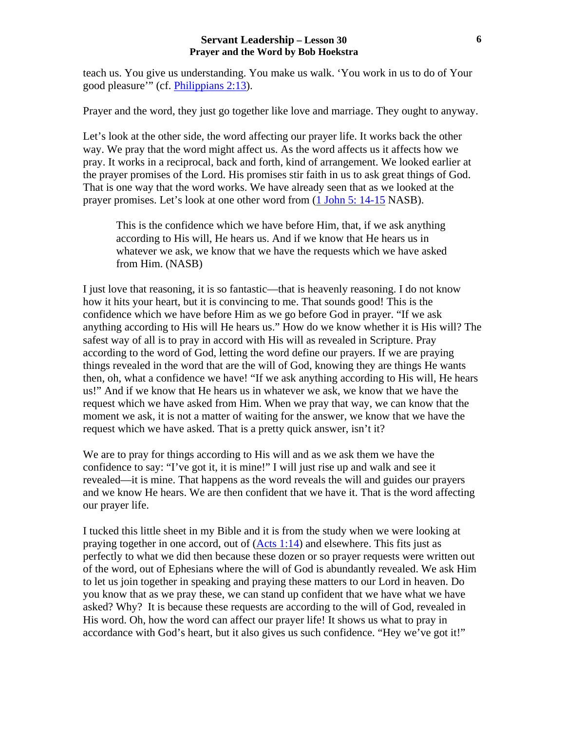teach us. You give us understanding. You make us walk. 'You work in us to do of Your good pleasure'" (cf. [Philippians 2:13\)](http://www.blb.org/Bible.cfm?b=phl&c=2&t=KJV#12).

Prayer and the word, they just go together like love and marriage. They ought to anyway.

Let's look at the other side, the word affecting our prayer life. It works back the other way. We pray that the word might affect us. As the word affects us it affects how we pray. It works in a reciprocal, back and forth, kind of arrangement. We looked earlier at the prayer promises of the Lord. His promises stir faith in us to ask great things of God. That is one way that the word works. We have already seen that as we looked at the prayer promises. Let's look at one other word from ([1 John 5: 14-15](http://www.blb.org/Bible.cfm?b=1jo&c=14&t=NASB#13) NASB).

This is the confidence which we have before Him, that, if we ask anything according to His will, He hears us. And if we know that He hears us in whatever we ask, we know that we have the requests which we have asked from Him. (NASB)

I just love that reasoning, it is so fantastic—that is heavenly reasoning. I do not know how it hits your heart, but it is convincing to me. That sounds good! This is the confidence which we have before Him as we go before God in prayer. "If we ask anything according to His will He hears us." How do we know whether it is His will? The safest way of all is to pray in accord with His will as revealed in Scripture. Pray according to the word of God, letting the word define our prayers. If we are praying things revealed in the word that are the will of God, knowing they are things He wants then, oh, what a confidence we have! "If we ask anything according to His will, He hears us!" And if we know that He hears us in whatever we ask, we know that we have the request which we have asked from Him. When we pray that way, we can know that the moment we ask, it is not a matter of waiting for the answer, we know that we have the request which we have asked. That is a pretty quick answer, isn't it?

We are to pray for things according to His will and as we ask them we have the confidence to say: "I've got it, it is mine!" I will just rise up and walk and see it revealed—it is mine. That happens as the word reveals the will and guides our prayers and we know He hears. We are then confident that we have it. That is the word affecting our prayer life.

I tucked this little sheet in my Bible and it is from the study when we were looking at praying together in one accord, out of  $(Acts 1:14)$  $(Acts 1:14)$  $(Acts 1:14)$  and elsewhere. This fits just as perfectly to what we did then because these dozen or so prayer requests were written out of the word, out of Ephesians where the will of God is abundantly revealed. We ask Him to let us join together in speaking and praying these matters to our Lord in heaven. Do you know that as we pray these, we can stand up confident that we have what we have asked? Why? It is because these requests are according to the will of God, revealed in His word. Oh, how the word can affect our prayer life! It shows us what to pray in accordance with God's heart, but it also gives us such confidence. "Hey we've got it!"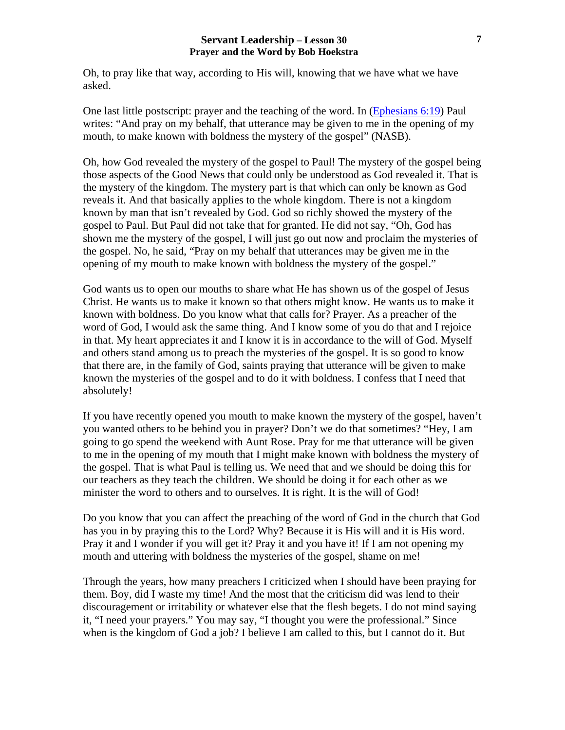Oh, to pray like that way, according to His will, knowing that we have what we have asked.

One last little postscript: prayer and the teaching of the word. In [\(Ephesians 6:19](http://www.blb.org/Bible.cfm?b=eph&c=6&t=NASB#18)) Paul writes: "And pray on my behalf, that utterance may be given to me in the opening of my mouth, to make known with boldness the mystery of the gospel" (NASB).

Oh, how God revealed the mystery of the gospel to Paul! The mystery of the gospel being those aspects of the Good News that could only be understood as God revealed it. That is the mystery of the kingdom. The mystery part is that which can only be known as God reveals it. And that basically applies to the whole kingdom. There is not a kingdom known by man that isn't revealed by God. God so richly showed the mystery of the gospel to Paul. But Paul did not take that for granted. He did not say, "Oh, God has shown me the mystery of the gospel, I will just go out now and proclaim the mysteries of the gospel. No, he said, "Pray on my behalf that utterances may be given me in the opening of my mouth to make known with boldness the mystery of the gospel."

God wants us to open our mouths to share what He has shown us of the gospel of Jesus Christ. He wants us to make it known so that others might know. He wants us to make it known with boldness. Do you know what that calls for? Prayer. As a preacher of the word of God, I would ask the same thing. And I know some of you do that and I rejoice in that. My heart appreciates it and I know it is in accordance to the will of God. Myself and others stand among us to preach the mysteries of the gospel. It is so good to know that there are, in the family of God, saints praying that utterance will be given to make known the mysteries of the gospel and to do it with boldness. I confess that I need that absolutely!

If you have recently opened you mouth to make known the mystery of the gospel, haven't you wanted others to be behind you in prayer? Don't we do that sometimes? "Hey, I am going to go spend the weekend with Aunt Rose. Pray for me that utterance will be given to me in the opening of my mouth that I might make known with boldness the mystery of the gospel. That is what Paul is telling us. We need that and we should be doing this for our teachers as they teach the children. We should be doing it for each other as we minister the word to others and to ourselves. It is right. It is the will of God!

Do you know that you can affect the preaching of the word of God in the church that God has you in by praying this to the Lord? Why? Because it is His will and it is His word. Pray it and I wonder if you will get it? Pray it and you have it! If I am not opening my mouth and uttering with boldness the mysteries of the gospel, shame on me!

Through the years, how many preachers I criticized when I should have been praying for them. Boy, did I waste my time! And the most that the criticism did was lend to their discouragement or irritability or whatever else that the flesh begets. I do not mind saying it, "I need your prayers." You may say, "I thought you were the professional." Since when is the kingdom of God a job? I believe I am called to this, but I cannot do it. But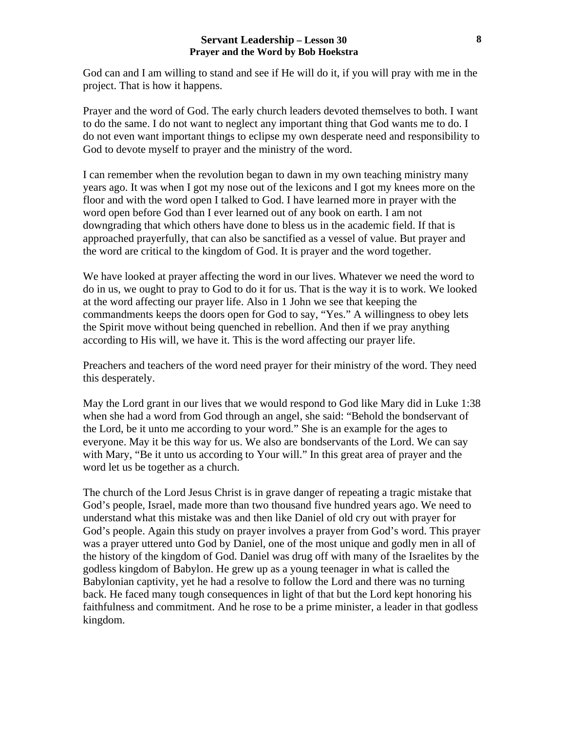God can and I am willing to stand and see if He will do it, if you will pray with me in the project. That is how it happens.

Prayer and the word of God. The early church leaders devoted themselves to both. I want to do the same. I do not want to neglect any important thing that God wants me to do. I do not even want important things to eclipse my own desperate need and responsibility to God to devote myself to prayer and the ministry of the word.

I can remember when the revolution began to dawn in my own teaching ministry many years ago. It was when I got my nose out of the lexicons and I got my knees more on the floor and with the word open I talked to God. I have learned more in prayer with the word open before God than I ever learned out of any book on earth. I am not downgrading that which others have done to bless us in the academic field. If that is approached prayerfully, that can also be sanctified as a vessel of value. But prayer and the word are critical to the kingdom of God. It is prayer and the word together.

We have looked at prayer affecting the word in our lives. Whatever we need the word to do in us, we ought to pray to God to do it for us. That is the way it is to work. We looked at the word affecting our prayer life. Also in 1 John we see that keeping the commandments keeps the doors open for God to say, "Yes." A willingness to obey lets the Spirit move without being quenched in rebellion. And then if we pray anything according to His will, we have it. This is the word affecting our prayer life.

Preachers and teachers of the word need prayer for their ministry of the word. They need this desperately.

May the Lord grant in our lives that we would respond to God like Mary did in Luke 1:38 when she had a word from God through an angel, she said: "Behold the bondservant of the Lord, be it unto me according to your word." She is an example for the ages to everyone. May it be this way for us. We also are bondservants of the Lord. We can say with Mary, "Be it unto us according to Your will." In this great area of prayer and the word let us be together as a church.

The church of the Lord Jesus Christ is in grave danger of repeating a tragic mistake that God's people, Israel, made more than two thousand five hundred years ago. We need to understand what this mistake was and then like Daniel of old cry out with prayer for God's people. Again this study on prayer involves a prayer from God's word. This prayer was a prayer uttered unto God by Daniel, one of the most unique and godly men in all of the history of the kingdom of God. Daniel was drug off with many of the Israelites by the godless kingdom of Babylon. He grew up as a young teenager in what is called the Babylonian captivity, yet he had a resolve to follow the Lord and there was no turning back. He faced many tough consequences in light of that but the Lord kept honoring his faithfulness and commitment. And he rose to be a prime minister, a leader in that godless kingdom.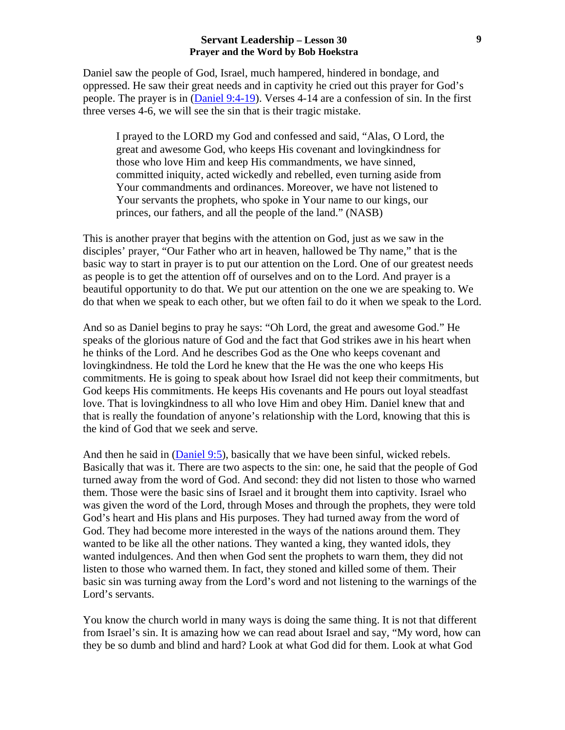Daniel saw the people of God, Israel, much hampered, hindered in bondage, and oppressed. He saw their great needs and in captivity he cried out this prayer for God's people. The prayer is in ([Daniel 9:4-19\)](http://www.blb.org/Bible.cfm?b=dan&c=9&t=NASB#3). Verses 4-14 are a confession of sin. In the first three verses 4-6, we will see the sin that is their tragic mistake.

I prayed to the LORD my God and confessed and said, "Alas, O Lord, the great and awesome God, who keeps His covenant and lovingkindness for those who love Him and keep His commandments, we have sinned, committed iniquity, acted wickedly and rebelled, even turning aside from Your commandments and ordinances. Moreover, we have not listened to Your servants the prophets, who spoke in Your name to our kings, our princes, our fathers, and all the people of the land." (NASB)

This is another prayer that begins with the attention on God, just as we saw in the disciples' prayer, "Our Father who art in heaven, hallowed be Thy name," that is the basic way to start in prayer is to put our attention on the Lord. One of our greatest needs as people is to get the attention off of ourselves and on to the Lord. And prayer is a beautiful opportunity to do that. We put our attention on the one we are speaking to. We do that when we speak to each other, but we often fail to do it when we speak to the Lord.

And so as Daniel begins to pray he says: "Oh Lord, the great and awesome God." He speaks of the glorious nature of God and the fact that God strikes awe in his heart when he thinks of the Lord. And he describes God as the One who keeps covenant and lovingkindness. He told the Lord he knew that the He was the one who keeps His commitments. He is going to speak about how Israel did not keep their commitments, but God keeps His commitments. He keeps His covenants and He pours out loyal steadfast love. That is lovingkindness to all who love Him and obey Him. Daniel knew that and that is really the foundation of anyone's relationship with the Lord, knowing that this is the kind of God that we seek and serve.

And then he said in [\(Daniel 9:5\)](http://www.blb.org/Bible.cfm?b=dan&c=9&t=NKJ#4), basically that we have been sinful, wicked rebels. Basically that was it. There are two aspects to the sin: one, he said that the people of God turned away from the word of God. And second: they did not listen to those who warned them. Those were the basic sins of Israel and it brought them into captivity. Israel who was given the word of the Lord, through Moses and through the prophets, they were told God's heart and His plans and His purposes. They had turned away from the word of God. They had become more interested in the ways of the nations around them. They wanted to be like all the other nations. They wanted a king, they wanted idols, they wanted indulgences. And then when God sent the prophets to warn them, they did not listen to those who warned them. In fact, they stoned and killed some of them. Their basic sin was turning away from the Lord's word and not listening to the warnings of the Lord's servants.

You know the church world in many ways is doing the same thing. It is not that different from Israel's sin. It is amazing how we can read about Israel and say, "My word, how can they be so dumb and blind and hard? Look at what God did for them. Look at what God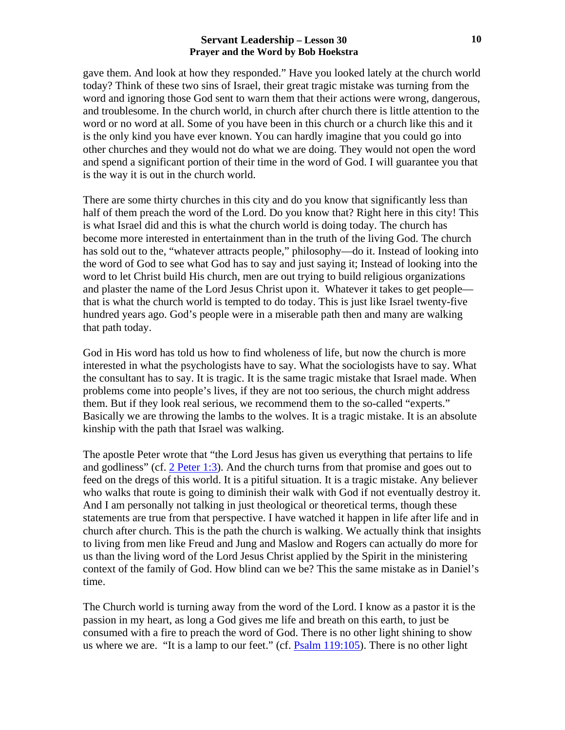gave them. And look at how they responded." Have you looked lately at the church world today? Think of these two sins of Israel, their great tragic mistake was turning from the word and ignoring those God sent to warn them that their actions were wrong, dangerous, and troublesome. In the church world, in church after church there is little attention to the word or no word at all. Some of you have been in this church or a church like this and it is the only kind you have ever known. You can hardly imagine that you could go into other churches and they would not do what we are doing. They would not open the word and spend a significant portion of their time in the word of God. I will guarantee you that is the way it is out in the church world.

There are some thirty churches in this city and do you know that significantly less than half of them preach the word of the Lord. Do you know that? Right here in this city! This is what Israel did and this is what the church world is doing today. The church has become more interested in entertainment than in the truth of the living God. The church has sold out to the, "whatever attracts people," philosophy—do it. Instead of looking into the word of God to see what God has to say and just saying it; Instead of looking into the word to let Christ build His church, men are out trying to build religious organizations and plaster the name of the Lord Jesus Christ upon it. Whatever it takes to get people that is what the church world is tempted to do today. This is just like Israel twenty-five hundred years ago. God's people were in a miserable path then and many are walking that path today.

God in His word has told us how to find wholeness of life, but now the church is more interested in what the psychologists have to say. What the sociologists have to say. What the consultant has to say. It is tragic. It is the same tragic mistake that Israel made. When problems come into people's lives, if they are not too serious, the church might address them. But if they look real serious, we recommend them to the so-called "experts." Basically we are throwing the lambs to the wolves. It is a tragic mistake. It is an absolute kinship with the path that Israel was walking.

The apostle Peter wrote that "the Lord Jesus has given us everything that pertains to life and godliness" (cf. [2 Peter 1:3](http://www.blb.org/Bible.cfm?b=2pe&c=1&t=KJV#2)). And the church turns from that promise and goes out to feed on the dregs of this world. It is a pitiful situation. It is a tragic mistake. Any believer who walks that route is going to diminish their walk with God if not eventually destroy it. And I am personally not talking in just theological or theoretical terms, though these statements are true from that perspective. I have watched it happen in life after life and in church after church. This is the path the church is walking. We actually think that insights to living from men like Freud and Jung and Maslow and Rogers can actually do more for us than the living word of the Lord Jesus Christ applied by the Spirit in the ministering context of the family of God. How blind can we be? This the same mistake as in Daniel's time.

The Church world is turning away from the word of the Lord. I know as a pastor it is the passion in my heart, as long a God gives me life and breath on this earth, to just be consumed with a fire to preach the word of God. There is no other light shining to show us where we are. "It is a lamp to our feet." (cf. Psalm  $119:105$ ). There is no other light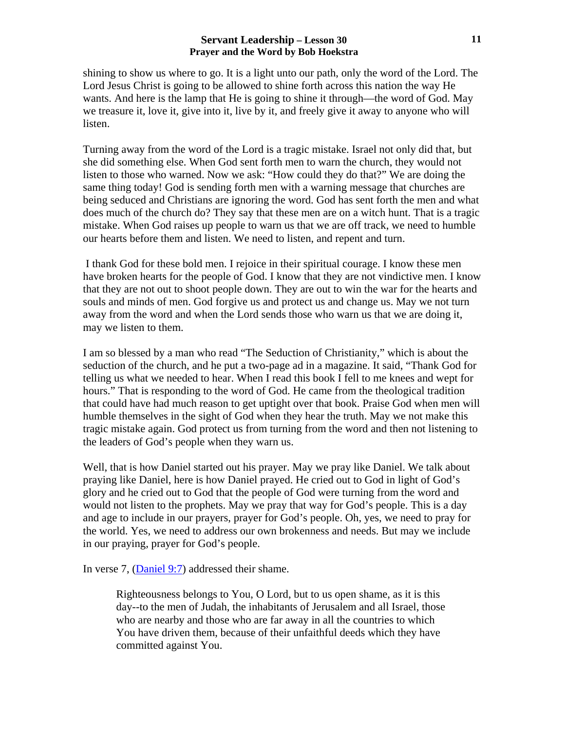shining to show us where to go. It is a light unto our path, only the word of the Lord. The Lord Jesus Christ is going to be allowed to shine forth across this nation the way He wants. And here is the lamp that He is going to shine it through—the word of God. May we treasure it, love it, give into it, live by it, and freely give it away to anyone who will listen.

Turning away from the word of the Lord is a tragic mistake. Israel not only did that, but she did something else. When God sent forth men to warn the church, they would not listen to those who warned. Now we ask: "How could they do that?" We are doing the same thing today! God is sending forth men with a warning message that churches are being seduced and Christians are ignoring the word. God has sent forth the men and what does much of the church do? They say that these men are on a witch hunt. That is a tragic mistake. When God raises up people to warn us that we are off track, we need to humble our hearts before them and listen. We need to listen, and repent and turn.

 I thank God for these bold men. I rejoice in their spiritual courage. I know these men have broken hearts for the people of God. I know that they are not vindictive men. I know that they are not out to shoot people down. They are out to win the war for the hearts and souls and minds of men. God forgive us and protect us and change us. May we not turn away from the word and when the Lord sends those who warn us that we are doing it, may we listen to them.

I am so blessed by a man who read "The Seduction of Christianity," which is about the seduction of the church, and he put a two-page ad in a magazine. It said, "Thank God for telling us what we needed to hear. When I read this book I fell to me knees and wept for hours." That is responding to the word of God. He came from the theological tradition that could have had much reason to get uptight over that book. Praise God when men will humble themselves in the sight of God when they hear the truth. May we not make this tragic mistake again. God protect us from turning from the word and then not listening to the leaders of God's people when they warn us.

Well, that is how Daniel started out his prayer. May we pray like Daniel. We talk about praying like Daniel, here is how Daniel prayed. He cried out to God in light of God's glory and he cried out to God that the people of God were turning from the word and would not listen to the prophets. May we pray that way for God's people. This is a day and age to include in our prayers, prayer for God's people. Oh, yes, we need to pray for the world. Yes, we need to address our own brokenness and needs. But may we include in our praying, prayer for God's people.

In verse 7, [\(Daniel 9:7\)](http://www.blb.org/Bible.cfm?b=dan&c=9&t=NASB#6) addressed their shame.

Righteousness belongs to You, O Lord, but to us open shame, as it is this day--to the men of Judah, the inhabitants of Jerusalem and all Israel, those who are nearby and those who are far away in all the countries to which You have driven them, because of their unfaithful deeds which they have committed against You.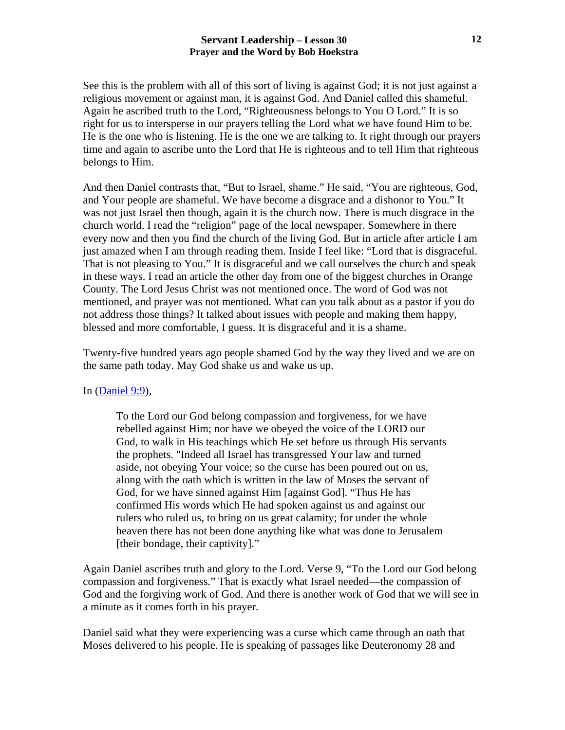See this is the problem with all of this sort of living is against God; it is not just against a religious movement or against man, it is against God. And Daniel called this shameful. Again he ascribed truth to the Lord, "Righteousness belongs to You O Lord." It is so right for us to intersperse in our prayers telling the Lord what we have found Him to be. He is the one who is listening. He is the one we are talking to. It right through our prayers time and again to ascribe unto the Lord that He is righteous and to tell Him that righteous belongs to Him.

And then Daniel contrasts that, "But to Israel, shame." He said, "You are righteous, God, and Your people are shameful. We have become a disgrace and a dishonor to You." It was not just Israel then though, again it is the church now. There is much disgrace in the church world. I read the "religion" page of the local newspaper. Somewhere in there every now and then you find the church of the living God. But in article after article I am just amazed when I am through reading them. Inside I feel like: "Lord that is disgraceful. That is not pleasing to You." It is disgraceful and we call ourselves the church and speak in these ways. I read an article the other day from one of the biggest churches in Orange County. The Lord Jesus Christ was not mentioned once. The word of God was not mentioned, and prayer was not mentioned. What can you talk about as a pastor if you do not address those things? It talked about issues with people and making them happy, blessed and more comfortable, I guess. It is disgraceful and it is a shame.

Twenty-five hundred years ago people shamed God by the way they lived and we are on the same path today. May God shake us and wake us up.

In [\(Daniel 9:9](http://www.blb.org/Bible.cfm?b=dan&c=9&t=NASB#8)),

To the Lord our God belong compassion and forgiveness, for we have rebelled against Him; nor have we obeyed the voice of the LORD our God, to walk in His teachings which He set before us through His servants the prophets. "Indeed all Israel has transgressed Your law and turned aside, not obeying Your voice; so the curse has been poured out on us, along with the oath which is written in the law of Moses the servant of God, for we have sinned against Him [against God]. "Thus He has confirmed His words which He had spoken against us and against our rulers who ruled us, to bring on us great calamity; for under the whole heaven there has not been done anything like what was done to Jerusalem [their bondage, their captivity]."

Again Daniel ascribes truth and glory to the Lord. Verse 9, "To the Lord our God belong compassion and forgiveness." That is exactly what Israel needed—the compassion of God and the forgiving work of God. And there is another work of God that we will see in a minute as it comes forth in his prayer.

Daniel said what they were experiencing was a curse which came through an oath that Moses delivered to his people. He is speaking of passages like Deuteronomy 28 and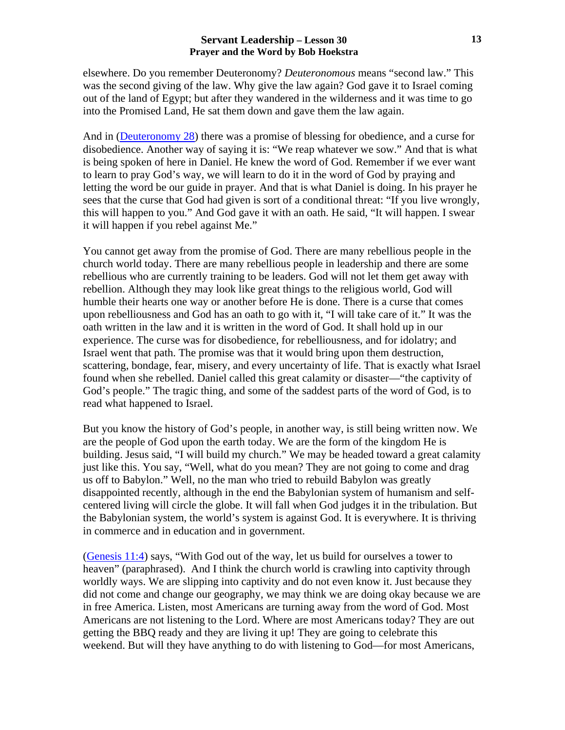elsewhere. Do you remember Deuteronomy? *Deuteronomous* means "second law." This was the second giving of the law. Why give the law again? God gave it to Israel coming out of the land of Egypt; but after they wandered in the wilderness and it was time to go into the Promised Land, He sat them down and gave them the law again.

And in ([Deuteronomy 28\)](http://www.blb.org/Bible.cfm?b=deu&c=28&t=NASB) there was a promise of blessing for obedience, and a curse for disobedience. Another way of saying it is: "We reap whatever we sow." And that is what is being spoken of here in Daniel. He knew the word of God. Remember if we ever want to learn to pray God's way, we will learn to do it in the word of God by praying and letting the word be our guide in prayer. And that is what Daniel is doing. In his prayer he sees that the curse that God had given is sort of a conditional threat: "If you live wrongly, this will happen to you." And God gave it with an oath. He said, "It will happen. I swear it will happen if you rebel against Me."

You cannot get away from the promise of God. There are many rebellious people in the church world today. There are many rebellious people in leadership and there are some rebellious who are currently training to be leaders. God will not let them get away with rebellion. Although they may look like great things to the religious world, God will humble their hearts one way or another before He is done. There is a curse that comes upon rebelliousness and God has an oath to go with it, "I will take care of it." It was the oath written in the law and it is written in the word of God. It shall hold up in our experience. The curse was for disobedience, for rebelliousness, and for idolatry; and Israel went that path. The promise was that it would bring upon them destruction, scattering, bondage, fear, misery, and every uncertainty of life. That is exactly what Israel found when she rebelled. Daniel called this great calamity or disaster—"the captivity of God's people." The tragic thing, and some of the saddest parts of the word of God, is to read what happened to Israel.

But you know the history of God's people, in another way, is still being written now. We are the people of God upon the earth today. We are the form of the kingdom He is building. Jesus said, "I will build my church." We may be headed toward a great calamity just like this. You say, "Well, what do you mean? They are not going to come and drag us off to Babylon." Well, no the man who tried to rebuild Babylon was greatly disappointed recently, although in the end the Babylonian system of humanism and selfcentered living will circle the globe. It will fall when God judges it in the tribulation. But the Babylonian system, the world's system is against God. It is everywhere. It is thriving in commerce and in education and in government.

([Genesis 11:4](http://www.blb.org/Bible.cfm?b=gen&c=11&t=kjv#3)) says, "With God out of the way, let us build for ourselves a tower to heaven" (paraphrased). And I think the church world is crawling into captivity through worldly ways. We are slipping into captivity and do not even know it. Just because they did not come and change our geography, we may think we are doing okay because we are in free America. Listen, most Americans are turning away from the word of God. Most Americans are not listening to the Lord. Where are most Americans today? They are out getting the BBQ ready and they are living it up! They are going to celebrate this weekend. But will they have anything to do with listening to God—for most Americans,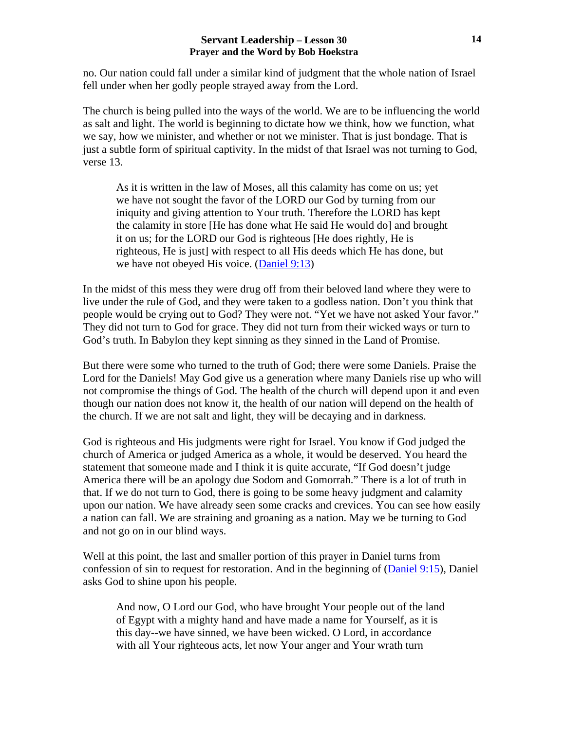no. Our nation could fall under a similar kind of judgment that the whole nation of Israel fell under when her godly people strayed away from the Lord.

The church is being pulled into the ways of the world. We are to be influencing the world as salt and light. The world is beginning to dictate how we think, how we function, what we say, how we minister, and whether or not we minister. That is just bondage. That is just a subtle form of spiritual captivity. In the midst of that Israel was not turning to God, verse 13.

As it is written in the law of Moses, all this calamity has come on us; yet we have not sought the favor of the LORD our God by turning from our iniquity and giving attention to Your truth. Therefore the LORD has kept the calamity in store [He has done what He said He would do] and brought it on us; for the LORD our God is righteous [He does rightly, He is righteous, He is just] with respect to all His deeds which He has done, but we have not obeyed His voice. [\(Daniel 9:13\)](http://www.blb.org/Bible.cfm?b=dan&c=9&t=NASB#12)

In the midst of this mess they were drug off from their beloved land where they were to live under the rule of God, and they were taken to a godless nation. Don't you think that people would be crying out to God? They were not. "Yet we have not asked Your favor." They did not turn to God for grace. They did not turn from their wicked ways or turn to God's truth. In Babylon they kept sinning as they sinned in the Land of Promise.

But there were some who turned to the truth of God; there were some Daniels. Praise the Lord for the Daniels! May God give us a generation where many Daniels rise up who will not compromise the things of God. The health of the church will depend upon it and even though our nation does not know it, the health of our nation will depend on the health of the church. If we are not salt and light, they will be decaying and in darkness.

God is righteous and His judgments were right for Israel. You know if God judged the church of America or judged America as a whole, it would be deserved. You heard the statement that someone made and I think it is quite accurate, "If God doesn't judge America there will be an apology due Sodom and Gomorrah." There is a lot of truth in that. If we do not turn to God, there is going to be some heavy judgment and calamity upon our nation. We have already seen some cracks and crevices. You can see how easily a nation can fall. We are straining and groaning as a nation. May we be turning to God and not go on in our blind ways.

Well at this point, the last and smaller portion of this prayer in Daniel turns from confession of sin to request for restoration. And in the beginning of [\(Daniel 9:15\)](http://www.blb.org/Bible.cfm?b=dan&c=9&t=NASB#14), Daniel asks God to shine upon his people.

And now, O Lord our God, who have brought Your people out of the land of Egypt with a mighty hand and have made a name for Yourself, as it is this day--we have sinned, we have been wicked. O Lord, in accordance with all Your righteous acts, let now Your anger and Your wrath turn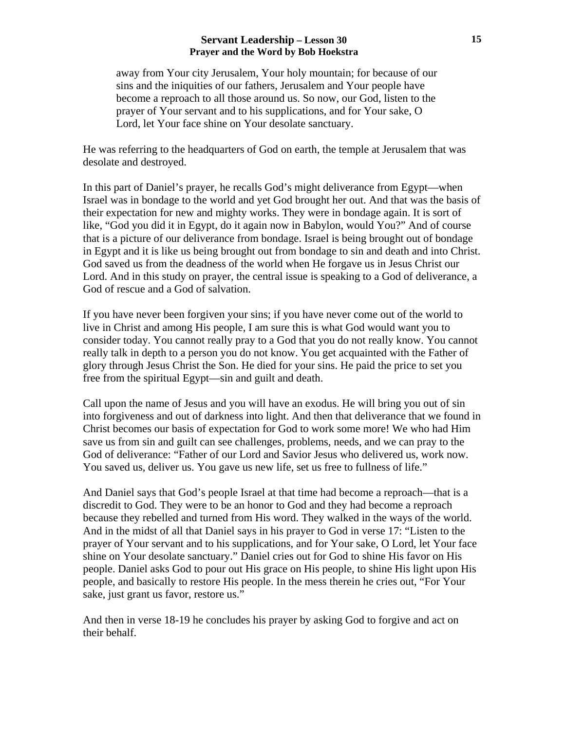away from Your city Jerusalem, Your holy mountain; for because of our sins and the iniquities of our fathers, Jerusalem and Your people have become a reproach to all those around us. So now, our God, listen to the prayer of Your servant and to his supplications, and for Your sake, O Lord, let Your face shine on Your desolate sanctuary.

He was referring to the headquarters of God on earth, the temple at Jerusalem that was desolate and destroyed.

In this part of Daniel's prayer, he recalls God's might deliverance from Egypt—when Israel was in bondage to the world and yet God brought her out. And that was the basis of their expectation for new and mighty works. They were in bondage again. It is sort of like, "God you did it in Egypt, do it again now in Babylon, would You?" And of course that is a picture of our deliverance from bondage. Israel is being brought out of bondage in Egypt and it is like us being brought out from bondage to sin and death and into Christ. God saved us from the deadness of the world when He forgave us in Jesus Christ our Lord. And in this study on prayer, the central issue is speaking to a God of deliverance, a God of rescue and a God of salvation.

If you have never been forgiven your sins; if you have never come out of the world to live in Christ and among His people, I am sure this is what God would want you to consider today. You cannot really pray to a God that you do not really know. You cannot really talk in depth to a person you do not know. You get acquainted with the Father of glory through Jesus Christ the Son. He died for your sins. He paid the price to set you free from the spiritual Egypt—sin and guilt and death.

Call upon the name of Jesus and you will have an exodus. He will bring you out of sin into forgiveness and out of darkness into light. And then that deliverance that we found in Christ becomes our basis of expectation for God to work some more! We who had Him save us from sin and guilt can see challenges, problems, needs, and we can pray to the God of deliverance: "Father of our Lord and Savior Jesus who delivered us, work now. You saved us, deliver us. You gave us new life, set us free to fullness of life."

And Daniel says that God's people Israel at that time had become a reproach—that is a discredit to God. They were to be an honor to God and they had become a reproach because they rebelled and turned from His word. They walked in the ways of the world. And in the midst of all that Daniel says in his prayer to God in verse 17: "Listen to the prayer of Your servant and to his supplications, and for Your sake, O Lord, let Your face shine on Your desolate sanctuary." Daniel cries out for God to shine His favor on His people. Daniel asks God to pour out His grace on His people, to shine His light upon His people, and basically to restore His people. In the mess therein he cries out, "For Your sake, just grant us favor, restore us."

And then in verse 18-19 he concludes his prayer by asking God to forgive and act on their behalf.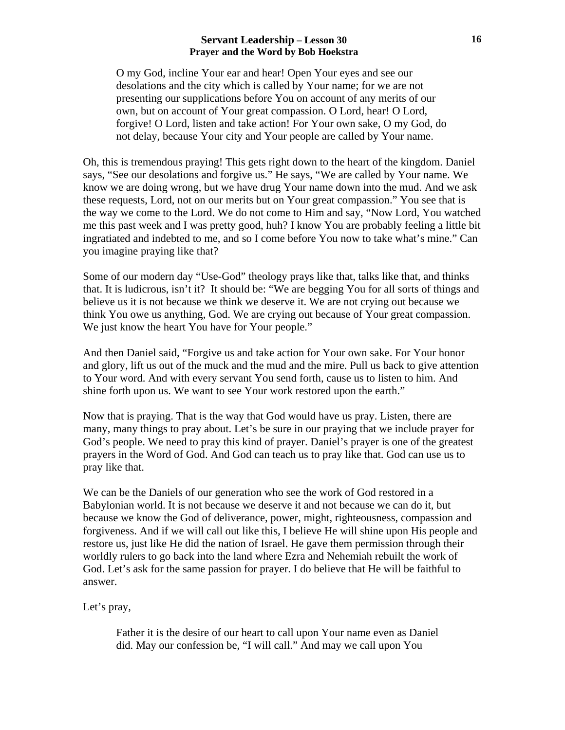O my God, incline Your ear and hear! Open Your eyes and see our desolations and the city which is called by Your name; for we are not presenting our supplications before You on account of any merits of our own, but on account of Your great compassion. O Lord, hear! O Lord, forgive! O Lord, listen and take action! For Your own sake, O my God, do not delay, because Your city and Your people are called by Your name.

Oh, this is tremendous praying! This gets right down to the heart of the kingdom. Daniel says, "See our desolations and forgive us." He says, "We are called by Your name. We know we are doing wrong, but we have drug Your name down into the mud. And we ask these requests, Lord, not on our merits but on Your great compassion." You see that is the way we come to the Lord. We do not come to Him and say, "Now Lord, You watched me this past week and I was pretty good, huh? I know You are probably feeling a little bit ingratiated and indebted to me, and so I come before You now to take what's mine." Can you imagine praying like that?

Some of our modern day "Use-God" theology prays like that, talks like that, and thinks that. It is ludicrous, isn't it? It should be: "We are begging You for all sorts of things and believe us it is not because we think we deserve it. We are not crying out because we think You owe us anything, God. We are crying out because of Your great compassion. We just know the heart You have for Your people."

And then Daniel said, "Forgive us and take action for Your own sake. For Your honor and glory, lift us out of the muck and the mud and the mire. Pull us back to give attention to Your word. And with every servant You send forth, cause us to listen to him. And shine forth upon us. We want to see Your work restored upon the earth."

Now that is praying. That is the way that God would have us pray. Listen, there are many, many things to pray about. Let's be sure in our praying that we include prayer for God's people. We need to pray this kind of prayer. Daniel's prayer is one of the greatest prayers in the Word of God. And God can teach us to pray like that. God can use us to pray like that.

We can be the Daniels of our generation who see the work of God restored in a Babylonian world. It is not because we deserve it and not because we can do it, but because we know the God of deliverance, power, might, righteousness, compassion and forgiveness. And if we will call out like this, I believe He will shine upon His people and restore us, just like He did the nation of Israel. He gave them permission through their worldly rulers to go back into the land where Ezra and Nehemiah rebuilt the work of God. Let's ask for the same passion for prayer. I do believe that He will be faithful to answer.

Let's pray,

Father it is the desire of our heart to call upon Your name even as Daniel did. May our confession be, "I will call." And may we call upon You